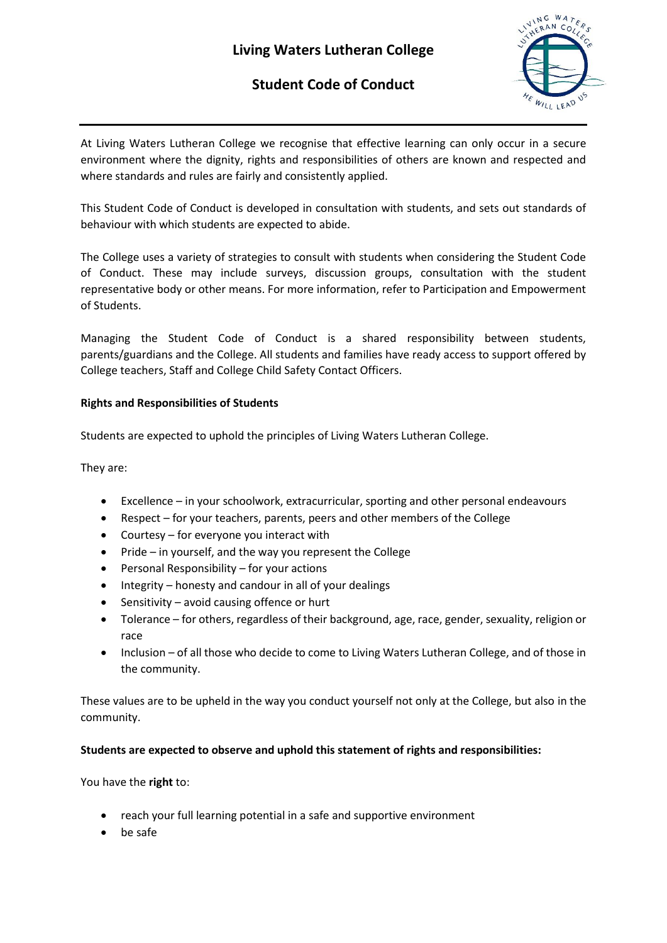# **Living Waters Lutheran College**

## **Student Code of Conduct**



At Living Waters Lutheran College we recognise that effective learning can only occur in a secure environment where the dignity, rights and responsibilities of others are known and respected and where standards and rules are fairly and consistently applied.

This Student Code of Conduct is developed in consultation with students, and sets out standards of behaviour with which students are expected to abide.

The College uses a variety of strategies to consult with students when considering the Student Code of Conduct. These may include surveys, discussion groups, consultation with the student representative body or other means. For more information, refer to Participation and Empowerment of Students.

Managing the Student Code of Conduct is a shared responsibility between students, parents/guardians and the College. All students and families have ready access to support offered by College teachers, Staff and College Child Safety Contact Officers.

### **Rights and Responsibilities of Students**

Students are expected to uphold the principles of Living Waters Lutheran College.

They are:

- Excellence in your schoolwork, extracurricular, sporting and other personal endeavours
- Respect for your teachers, parents, peers and other members of the College
- Courtesy for everyone you interact with
- Pride in yourself, and the way you represent the College
- Personal Responsibility for your actions
- Integrity honesty and candour in all of your dealings
- Sensitivity avoid causing offence or hurt
- Tolerance for others, regardless of their background, age, race, gender, sexuality, religion or race
- Inclusion of all those who decide to come to Living Waters Lutheran College, and of those in the community.

These values are to be upheld in the way you conduct yourself not only at the College, but also in the community.

### **Students are expected to observe and uphold this statement of rights and responsibilities:**

You have the **right** to:

- reach your full learning potential in a safe and supportive environment
- be safe